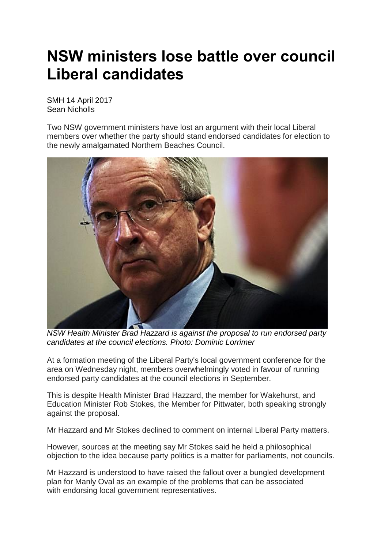## **NSW ministers lose battle over council Liberal candidates**

SMH 14 April 2017 Sean Nicholls

Two NSW government ministers have lost an argument with their local Liberal members over whether the party should stand endorsed candidates for election to the newly amalgamated Northern Beaches Council.



*NSW Health Minister Brad Hazzard is against the proposal to run endorsed party candidates at the council elections. Photo: Dominic Lorrimer*

At a formation meeting of the Liberal Party's local government conference for the area on Wednesday night, members overwhelmingly voted in favour of running endorsed party candidates at the council elections in September.

This is despite Health Minister Brad Hazzard, the member for Wakehurst, and Education Minister Rob Stokes, the Member for Pittwater, both speaking strongly against the proposal.

Mr Hazzard and Mr Stokes declined to comment on internal Liberal Party matters.

However, sources at the meeting say Mr Stokes said he held a philosophical objection to the idea because party politics is a matter for parliaments, not councils.

Mr Hazzard is understood to have raised the fallout over a bungled development plan for Manly Oval as an example of the problems that can be associated with endorsing local government representatives.